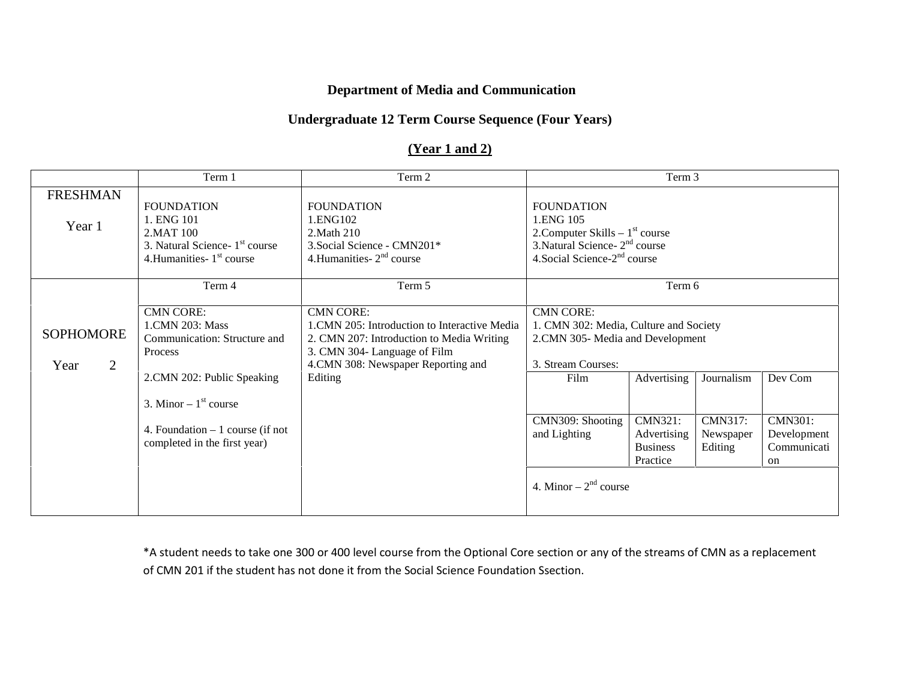### **Department of Media and Communication**

#### **Undergraduate 12 Term Course Sequence (Four Years)**

## **(Year 1 and 2)**

|                                            | Term 1                                                                                                                                 | Term 2                                                                                                                                                                                          |                                                                                                                                                     | Term 3                                                                                                            |                                        |                                                    |
|--------------------------------------------|----------------------------------------------------------------------------------------------------------------------------------------|-------------------------------------------------------------------------------------------------------------------------------------------------------------------------------------------------|-----------------------------------------------------------------------------------------------------------------------------------------------------|-------------------------------------------------------------------------------------------------------------------|----------------------------------------|----------------------------------------------------|
| <b>FRESHMAN</b><br>Year 1                  | <b>FOUNDATION</b><br>1. ENG 101<br>2. MAT 100<br>3. Natural Science- 1 <sup>st</sup> course<br>4. Humanities $1st$ course              | <b>FOUNDATION</b><br>1.ENG102<br>2. Math 210<br>3. Social Science - CMN201*<br>4. Humanities - $2nd$ course                                                                                     | <b>FOUNDATION</b><br>1.ENG 105<br>2. Computer Skills $-1st$ course<br>3. Natural Science - $2nd$ course<br>4. Social Science-2 <sup>nd</sup> course |                                                                                                                   |                                        |                                                    |
|                                            | Term 4                                                                                                                                 | Term 5                                                                                                                                                                                          | Term 6                                                                                                                                              |                                                                                                                   |                                        |                                                    |
| <b>SOPHOMORE</b><br>$\overline{2}$<br>Year | <b>CMN CORE:</b><br>1.CMN 203: Mass<br>Communication: Structure and<br>Process<br>2.CMN 202: Public Speaking<br>3. Minor $-1st$ course | <b>CMN CORE:</b><br>1. CMN 205: Introduction to Interactive Media<br>2. CMN 207: Introduction to Media Writing<br>3. CMN 304- Language of Film<br>4.CMN 308: Newspaper Reporting and<br>Editing | <b>CMN CORE:</b><br>3. Stream Courses:<br>Film                                                                                                      | 1. CMN 302: Media, Culture and Society<br>2.CMN 305-Media and Development<br>Advertising<br>Dev Com<br>Journalism |                                        |                                                    |
|                                            | 4. Foundation $-1$ course (if not<br>completed in the first year)                                                                      |                                                                                                                                                                                                 | CMN309: Shooting<br>and Lighting                                                                                                                    | <b>CMN321:</b><br>Advertising<br><b>Business</b><br>Practice                                                      | <b>CMN317:</b><br>Newspaper<br>Editing | <b>CMN301:</b><br>Development<br>Communicati<br>on |
|                                            |                                                                                                                                        |                                                                                                                                                                                                 | 4. Minor $-2^{nd}$ course                                                                                                                           |                                                                                                                   |                                        |                                                    |

\*A student needs to take one 300 or 400 level course from the Optional Core section or any of the streams of CMN as a replacement of CMN 201 if the student has not done it from the Social Science Foundation Ssection.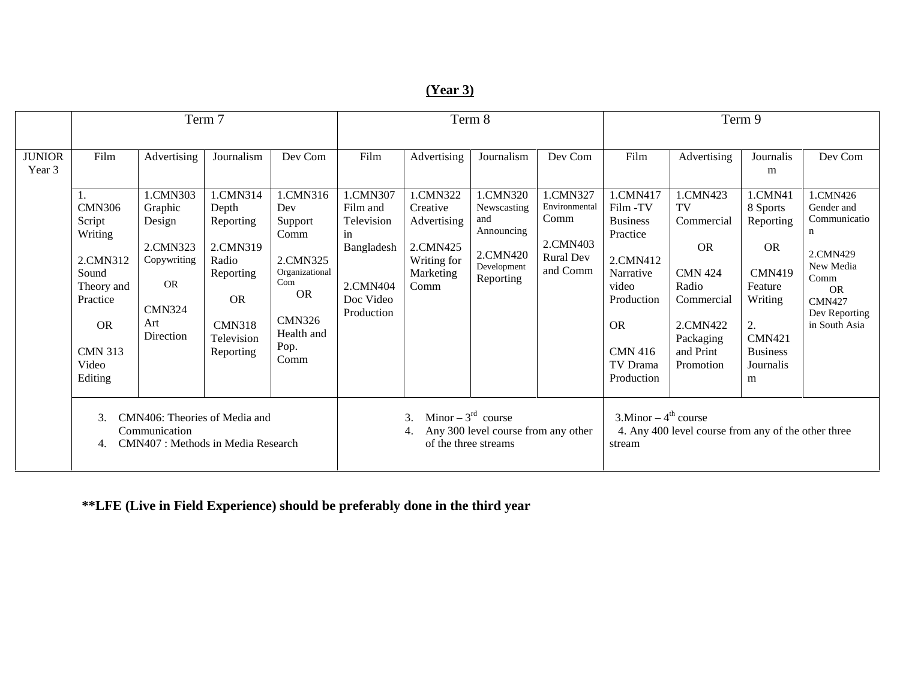# **(Year 3)**

|                         | Term 7                                                                                                                                             |                                                                                                                           |                                                                                                                                         | Term 8                                                                                                                                         |                                                                                                       |                                                                                                    | Term 9                                                                                               |                                                                                          |                                                                                                                                                                      |                                                                                                                                                      |                                                                                                                                                                    |                                                                                                                                                         |
|-------------------------|----------------------------------------------------------------------------------------------------------------------------------------------------|---------------------------------------------------------------------------------------------------------------------------|-----------------------------------------------------------------------------------------------------------------------------------------|------------------------------------------------------------------------------------------------------------------------------------------------|-------------------------------------------------------------------------------------------------------|----------------------------------------------------------------------------------------------------|------------------------------------------------------------------------------------------------------|------------------------------------------------------------------------------------------|----------------------------------------------------------------------------------------------------------------------------------------------------------------------|------------------------------------------------------------------------------------------------------------------------------------------------------|--------------------------------------------------------------------------------------------------------------------------------------------------------------------|---------------------------------------------------------------------------------------------------------------------------------------------------------|
| <b>JUNIOR</b><br>Year 3 | Film<br>1.<br><b>CMN306</b><br>Script<br>Writing<br>2.CMN312<br>Sound<br>Theory and<br>Practice<br><b>OR</b><br><b>CMN 313</b><br>Video<br>Editing | Advertising<br>1.CMN303<br>Graphic<br>Design<br>2.CMN323<br>Copywriting<br><b>OR</b><br><b>CMN324</b><br>Art<br>Direction | Journalism<br>1.CMN314<br>Depth<br>Reporting<br>2.CMN319<br>Radio<br>Reporting<br><b>OR</b><br><b>CMN318</b><br>Television<br>Reporting | Dev Com<br>1.CMN316<br>Dev<br>Support<br>Comm<br>2.CMN325<br>Organizational<br>Com<br><b>OR</b><br><b>CMN326</b><br>Health and<br>Pop.<br>Comm | Film<br>1.CMN307<br>Film and<br>Television<br>in<br>Bangladesh<br>2.CMN404<br>Doc Video<br>Production | Advertising<br>1.CMN322<br>Creative<br>Advertising<br>2.CMN425<br>Writing for<br>Marketing<br>Comm | Journalism<br>1.CMN320<br>Newscasting<br>and<br>Announcing<br>2.CMN420<br>Development<br>Reporting   | Dev Com<br>1.CMN327<br>Environmental<br>Comm<br>2.CMN403<br><b>Rural Dev</b><br>and Comm | Film<br>1.CMN417<br>Film -TV<br><b>Business</b><br>Practice<br>2.CMN412<br>Narrative<br>video<br>Production<br><b>OR</b><br><b>CMN 416</b><br>TV Drama<br>Production | Advertising<br>1.CMN423<br>TV<br>Commercial<br><b>OR</b><br><b>CMN 424</b><br>Radio<br>Commercial<br>2.CMN422<br>Packaging<br>and Print<br>Promotion | Journalis<br>m<br>1.CMN41<br>8 Sports<br>Reporting<br><b>OR</b><br><b>CMN419</b><br>Feature<br>Writing<br>2.<br><b>CMN421</b><br><b>Business</b><br>Journalis<br>m | Dev Com<br>1.CMN426<br>Gender and<br>Communicatio<br>n<br>2.CMN429<br>New Media<br>Comm<br><b>OR</b><br><b>CMN427</b><br>Dev Reporting<br>in South Asia |
|                         | CMN406: Theories of Media and<br>3.<br>Communication<br>CMN407: Methods in Media Research<br>4.                                                    |                                                                                                                           |                                                                                                                                         | Minor $-3^{rd}$ course<br>3.<br>Any 300 level course from any other<br>of the three streams                                                    |                                                                                                       |                                                                                                    | $3.$ Minor – 4 <sup>th</sup> course<br>4. Any 400 level course from any of the other three<br>stream |                                                                                          |                                                                                                                                                                      |                                                                                                                                                      |                                                                                                                                                                    |                                                                                                                                                         |

**\*\*LFE (Live in Field Experience) should be preferably done in the third year**